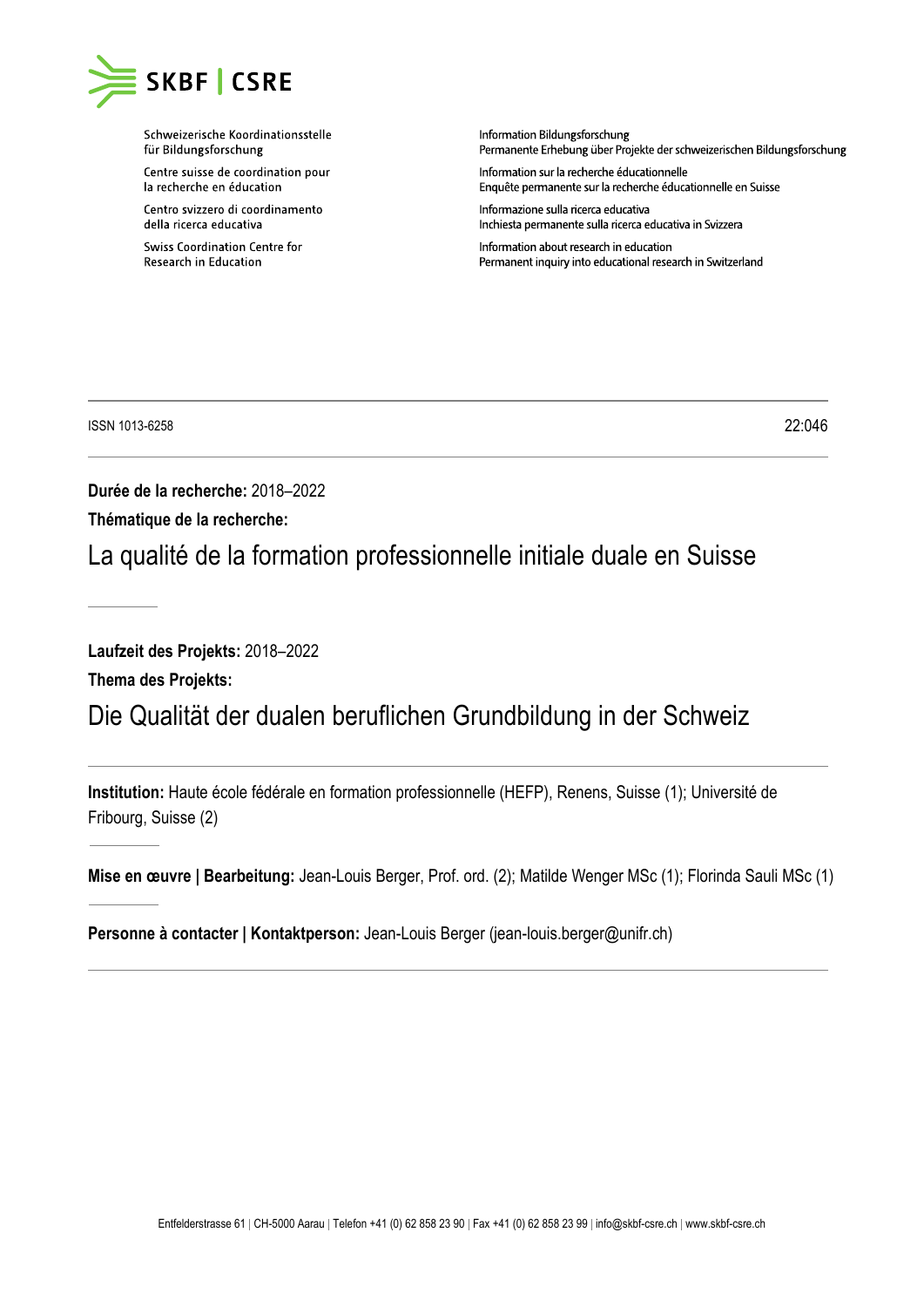

Schweizerische Koordinationsstelle für Bildungsforschung

Centre suisse de coordination pour la recherche en éducation

Centro svizzero di coordinamento della ricerca educativa

**Swiss Coordination Centre for** Research in Education

Information Bildungsforschung nnennamente Erhebung über Projekte der schweizerischen Bildungsforschung

Information sur la recherche éducationnelle Enquête permanente sur la recherche éducationnelle en Suisse

Informazione sulla ricerca educativa Inchiesta permanente sulla ricerca educativa in Svizzera

Information about research in education Permanent inquiry into educational research in Switzerland

ISSN 1013-6258 22:046

**Durée de la recherche:** 2018–2022

**Thématique de la recherche:**

La qualité de la formation professionnelle initiale duale en Suisse

**Laufzeit des Projekts:** 2018–2022

**Thema des Projekts:**

## Die Qualität der dualen beruflichen Grundbildung in der Schweiz

**Institution:** Haute école fédérale en formation professionnelle (HEFP), Renens, Suisse (1); Université de Fribourg, Suisse (2)

**Mise en œuvre | Bearbeitung:** Jean-Louis Berger, Prof. ord. (2); Matilde Wenger MSc (1); Florinda Sauli MSc (1)

**Personne à contacter | Kontaktperson:** Jean-Louis Berger (jean-louis.berger@unifr.ch)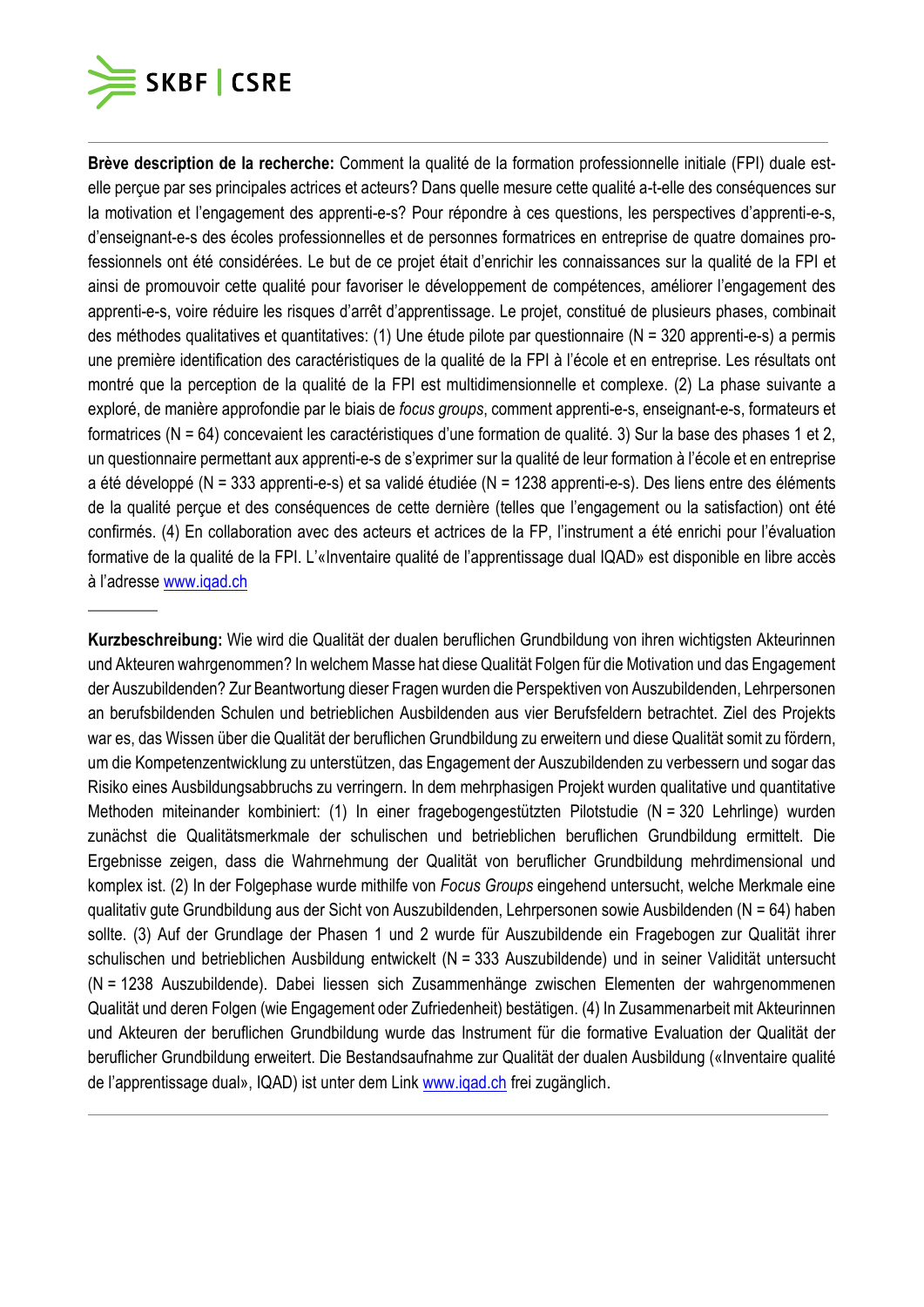

**Brève description de la recherche:** Comment la qualité de la formation professionnelle initiale (FPI) duale estelle perçue par ses principales actrices et acteurs? Dans quelle mesure cette qualité a-t-elle des conséquences sur la motivation et l'engagement des apprenti-e-s? Pour répondre à ces questions, les perspectives d'apprenti-e-s, d'enseignant-e-s des écoles professionnelles et de personnes formatrices en entreprise de quatre domaines professionnels ont été considérées. Le but de ce projet était d'enrichir les connaissances sur la qualité de la FPI et ainsi de promouvoir cette qualité pour favoriser le développement de compétences, améliorer l'engagement des apprenti-e-s, voire réduire les risques d'arrêt d'apprentissage. Le projet, constitué de plusieurs phases, combinait des méthodes qualitatives et quantitatives: (1) Une étude pilote par questionnaire (N = 320 apprenti-e-s) a permis une première identification des caractéristiques de la qualité de la FPI à l'école et en entreprise. Les résultats ont montré que la perception de la qualité de la FPI est multidimensionnelle et complexe. (2) La phase suivante a exploré, de manière approfondie par le biais de *focus groups*, comment apprenti-e-s, enseignant-e-s, formateurs et formatrices (N = 64) concevaient les caractéristiques d'une formation de qualité. 3) Sur la base des phases 1 et 2, un questionnaire permettant aux apprenti-e-s de s'exprimer sur la qualité de leur formation à l'école et en entreprise a été développé (N = 333 apprenti-e-s) et sa validé étudiée (N = 1238 apprenti-e-s). Des liens entre des éléments de la qualité perçue et des conséquences de cette dernière (telles que l'engagement ou la satisfaction) ont été confirmés. (4) En collaboration avec des acteurs et actrices de la FP, l'instrument a été enrichi pour l'évaluation formative de la qualité de la FPI. L'«Inventaire qualité de l'apprentissage dual IQAD» est disponible en libre accès à l'adresse [www.iqad.ch](http://www.iqad.ch/)

**Kurzbeschreibung:** Wie wird die Qualität der dualen beruflichen Grundbildung von ihren wichtigsten Akteurinnen und Akteuren wahrgenommen? In welchem Masse hat diese Qualität Folgen für die Motivation und das Engagement der Auszubildenden? Zur Beantwortung dieser Fragen wurden die Perspektiven von Auszubildenden, Lehrpersonen an berufsbildenden Schulen und betrieblichen Ausbildenden aus vier Berufsfeldern betrachtet. Ziel des Projekts war es, das Wissen über die Qualität der beruflichen Grundbildung zu erweitern und diese Qualität somit zu fördern, um die Kompetenzentwicklung zu unterstützen, das Engagement der Auszubildenden zu verbessern und sogar das Risiko eines Ausbildungsabbruchs zu verringern. In dem mehrphasigen Projekt wurden qualitative und quantitative Methoden miteinander kombiniert: (1) In einer fragebogengestützten Pilotstudie (N = 320 Lehrlinge) wurden zunächst die Qualitätsmerkmale der schulischen und betrieblichen beruflichen Grundbildung ermittelt. Die Ergebnisse zeigen, dass die Wahrnehmung der Qualität von beruflicher Grundbildung mehrdimensional und komplex ist. (2) In der Folgephase wurde mithilfe von *Focus Groups* eingehend untersucht, welche Merkmale eine qualitativ gute Grundbildung aus der Sicht von Auszubildenden, Lehrpersonen sowie Ausbildenden (N = 64) haben sollte. (3) Auf der Grundlage der Phasen 1 und 2 wurde für Auszubildende ein Fragebogen zur Qualität ihrer schulischen und betrieblichen Ausbildung entwickelt (N = 333 Auszubildende) und in seiner Validität untersucht (N = 1238 Auszubildende). Dabei liessen sich Zusammenhänge zwischen Elementen der wahrgenommenen Qualität und deren Folgen (wie Engagement oder Zufriedenheit) bestätigen. (4) In Zusammenarbeit mit Akteurinnen und Akteuren der beruflichen Grundbildung wurde das Instrument für die formative Evaluation der Qualität der beruflicher Grundbildung erweitert. Die Bestandsaufnahme zur Qualität der dualen Ausbildung («Inventaire qualité de l'apprentissage dual», IQAD) ist unter dem Link [www.iqad.ch](http://www.iqad.ch/) frei zugänglich.